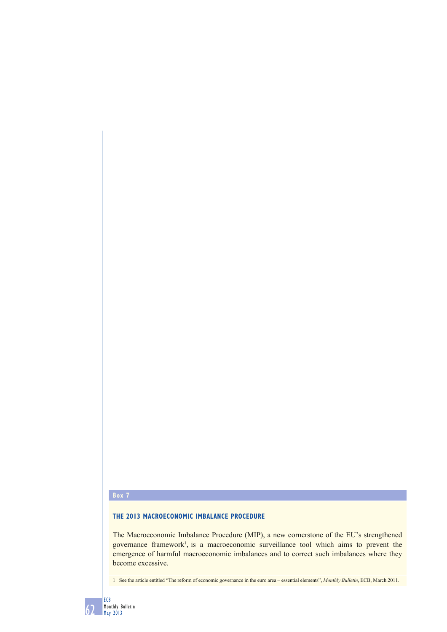## **Box 7**

## **THE 2013 MACROECONOMIC IMBALANCE PROCEDURE**

The Macroeconomic Imbalance Procedure (MIP), a new cornerstone of the EU's strengthened governance framework<sup>1</sup>, is a macroeconomic surveillance tool which aims to prevent the emergence of harmful macroeconomic imbalances and to correct such imbalances where they become excessive.

1 See the article entitled "The reform of economic governance in the euro area – essential elements", *Monthly Bulletin*, ECB, March 2011.

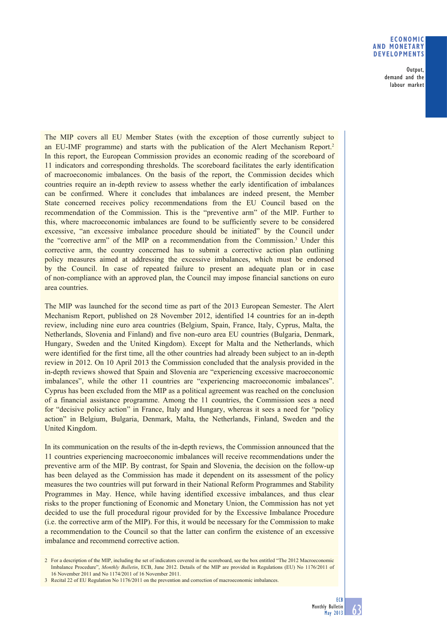## **ECONOMIC AND MONETARY DEVELOPMENTS**

Output, demand and the labour market

The MIP covers all EU Member States (with the exception of those currently subject to an EU-IMF programme) and starts with the publication of the Alert Mechanism Report.2 In this report, the European Commission provides an economic reading of the scoreboard of 11 indicators and corresponding thresholds. The scoreboard facilitates the early identification of macroeconomic imbalances. On the basis of the report, the Commission decides which countries require an in-depth review to assess whether the early identification of imbalances can be confirmed. Where it concludes that imbalances are indeed present, the Member State concerned receives policy recommendations from the EU Council based on the recommendation of the Commission. This is the "preventive arm" of the MIP. Further to this, where macroeconomic imbalances are found to be sufficiently severe to be considered excessive, "an excessive imbalance procedure should be initiated" by the Council under the "corrective arm" of the MIP on a recommendation from the Commission.3 Under this corrective arm, the country concerned has to submit a corrective action plan outlining policy measures aimed at addressing the excessive imbalances, which must be endorsed by the Council. In case of repeated failure to present an adequate plan or in case of non-compliance with an approved plan, the Council may impose financial sanctions on euro area countries.

The MIP was launched for the second time as part of the 2013 European Semester. The Alert Mechanism Report, published on 28 November 2012, identified 14 countries for an in-depth review, including nine euro area countries (Belgium, Spain, France, Italy, Cyprus, Malta, the Netherlands, Slovenia and Finland) and five non-euro area EU countries (Bulgaria, Denmark, Hungary, Sweden and the United Kingdom). Except for Malta and the Netherlands, which were identified for the first time, all the other countries had already been subject to an in-depth review in 2012. On 10 April 2013 the Commission concluded that the analysis provided in the in-depth reviews showed that Spain and Slovenia are "experiencing excessive macroeconomic imbalances", while the other 11 countries are "experiencing macroeconomic imbalances". Cyprus has been excluded from the MIP as a political agreement was reached on the conclusion of a financial assistance programme. Among the 11 countries, the Commission sees a need for "decisive policy action" in France, Italy and Hungary, whereas it sees a need for "policy action" in Belgium, Bulgaria, Denmark, Malta, the Netherlands, Finland, Sweden and the United Kingdom.

In its communication on the results of the in-depth reviews, the Commission announced that the 11 countries experiencing macroeconomic imbalances will receive recommendations under the preventive arm of the MIP. By contrast, for Spain and Slovenia, the decision on the follow-up has been delayed as the Commission has made it dependent on its assessment of the policy measures the two countries will put forward in their National Reform Programmes and Stability Programmes in May. Hence, while having identified excessive imbalances, and thus clear risks to the proper functioning of Economic and Monetary Union, the Commission has not yet decided to use the full procedural rigour provided for by the Excessive Imbalance Procedure (i.e. the corrective arm of the MIP). For this, it would be necessary for the Commission to make a recommendation to the Council so that the latter can confirm the existence of an excessive imbalance and recommend corrective action.

2 For a description of the MIP, including the set of indicators covered in the scoreboard, see the box entitled "The 2012 Macroeconomic Imbalance Procedure", *Monthly Bulletin*, ECB, June 2012. Details of the MIP are provided in Regulations (EU) No 1176/2011 of 16 November 2011 and No 1174/2011 of 16 November 2011.

3 Recital 22 of EU Regulation No 1176/2011 on the prevention and correction of macroeconomic imbalances.